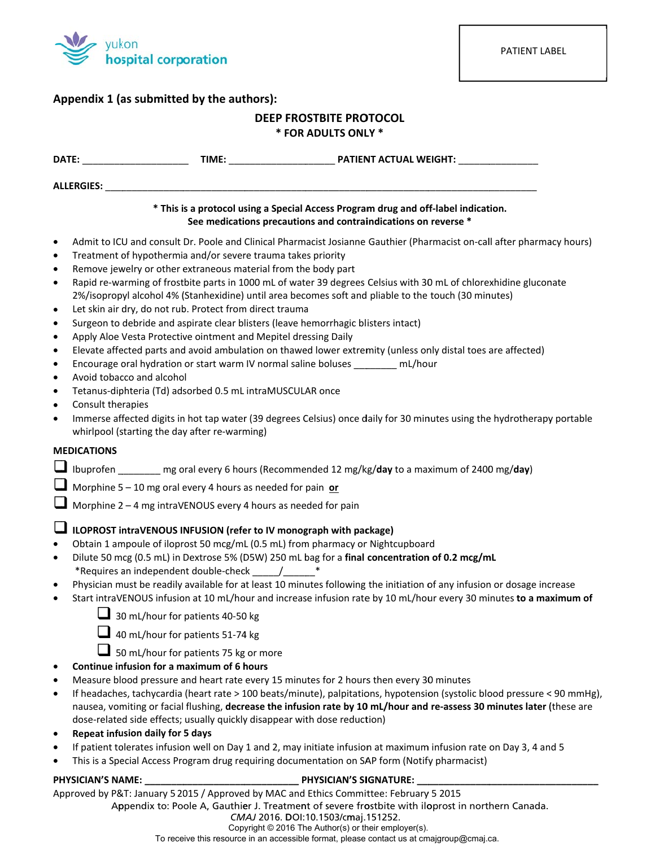

## Appendix 1 (as submitted by the authors):

# **DEEP FROSTBITE PROTOCOL**

### \* FOR ADULTS ONLY \*

| ALLERGIES:                                                                                                                                                                                 |                                                                                                                                                                                                                                                                                                                                                                                                                                                                                                |                                                                                                                                                                                                                                                                                                                                                                                                                                                                                                                                                                                                                                                                                   |
|--------------------------------------------------------------------------------------------------------------------------------------------------------------------------------------------|------------------------------------------------------------------------------------------------------------------------------------------------------------------------------------------------------------------------------------------------------------------------------------------------------------------------------------------------------------------------------------------------------------------------------------------------------------------------------------------------|-----------------------------------------------------------------------------------------------------------------------------------------------------------------------------------------------------------------------------------------------------------------------------------------------------------------------------------------------------------------------------------------------------------------------------------------------------------------------------------------------------------------------------------------------------------------------------------------------------------------------------------------------------------------------------------|
|                                                                                                                                                                                            |                                                                                                                                                                                                                                                                                                                                                                                                                                                                                                | * This is a protocol using a Special Access Program drug and off-label indication.<br>See medications precautions and contraindications on reverse *                                                                                                                                                                                                                                                                                                                                                                                                                                                                                                                              |
| $\bullet$<br>$\bullet$<br>$\bullet$<br>$\bullet$<br>$\bullet$<br>$\bullet$<br>$\bullet$<br>$\bullet$<br>$\bullet$<br>$\bullet$<br>$\bullet$<br>Consult therapies<br>$\bullet$<br>$\bullet$ | Treatment of hypothermia and/or severe trauma takes priority<br>Remove jewelry or other extraneous material from the body part<br>Let skin air dry, do not rub. Protect from direct trauma<br>Surgeon to debride and aspirate clear blisters (leave hemorrhagic blisters intact)<br>Apply Aloe Vesta Protective ointment and Mepitel dressing Daily<br>Avoid tobacco and alcohol<br>Tetanus-diphteria (Td) adsorbed 0.5 mL intraMUSCULAR once<br>whirlpool (starting the day after re-warming) | Admit to ICU and consult Dr. Poole and Clinical Pharmacist Josianne Gauthier (Pharmacist on-call after pharmacy hours)<br>Rapid re-warming of frostbite parts in 1000 mL of water 39 degrees Celsius with 30 mL of chlorexhidine gluconate<br>2%/isopropyl alcohol 4% (Stanhexidine) until area becomes soft and pliable to the touch (30 minutes)<br>Elevate affected parts and avoid ambulation on thawed lower extremity (unless only distal toes are affected)<br>Encourage oral hydration or start warm IV normal saline boluses ________ mL/hour<br>Immerse affected digits in hot tap water (39 degrees Celsius) once daily for 30 minutes using the hydrotherapy portable |
| <b>MEDICATIONS</b>                                                                                                                                                                         |                                                                                                                                                                                                                                                                                                                                                                                                                                                                                                |                                                                                                                                                                                                                                                                                                                                                                                                                                                                                                                                                                                                                                                                                   |
|                                                                                                                                                                                            |                                                                                                                                                                                                                                                                                                                                                                                                                                                                                                | Ibuprofen ______ mg oral every 6 hours (Recommended 12 mg/kg/day to a maximum of 2400 mg/day)                                                                                                                                                                                                                                                                                                                                                                                                                                                                                                                                                                                     |
|                                                                                                                                                                                            | Morphine 5 – 10 mg oral every 4 hours as needed for pain or                                                                                                                                                                                                                                                                                                                                                                                                                                    |                                                                                                                                                                                                                                                                                                                                                                                                                                                                                                                                                                                                                                                                                   |
|                                                                                                                                                                                            | Morphine 2 – 4 mg intraVENOUS every 4 hours as needed for pain                                                                                                                                                                                                                                                                                                                                                                                                                                 |                                                                                                                                                                                                                                                                                                                                                                                                                                                                                                                                                                                                                                                                                   |
| $\bullet$<br>$\bullet$<br>$\bullet$<br>$\bullet$                                                                                                                                           | ILOPROST intraVENOUS INFUSION (refer to IV monograph with package)<br>Obtain 1 ampoule of iloprost 50 mcg/mL (0.5 mL) from pharmacy or Nightcupboard<br>*Requires an independent double-check _____/______<br>30 mL/hour for patients 40-50 kg                                                                                                                                                                                                                                                 | Dilute 50 mcg (0.5 mL) in Dextrose 5% (D5W) 250 mL bag for a final concentration of 0.2 mcg/mL<br>Physician must be readily available for at least 10 minutes following the initiation of any infusion or dosage increase<br>Start intraVENOUS infusion at 10 mL/hour and increase infusion rate by 10 mL/hour every 30 minutes to a maximum of                                                                                                                                                                                                                                                                                                                                   |
|                                                                                                                                                                                            | 40 mL/hour for patients 51-74 kg<br>50 mL/hour for patients 75 kg or more                                                                                                                                                                                                                                                                                                                                                                                                                      |                                                                                                                                                                                                                                                                                                                                                                                                                                                                                                                                                                                                                                                                                   |
| ٠                                                                                                                                                                                          | Continue infusion for a maximum of 6 hours                                                                                                                                                                                                                                                                                                                                                                                                                                                     |                                                                                                                                                                                                                                                                                                                                                                                                                                                                                                                                                                                                                                                                                   |
| ٠                                                                                                                                                                                          |                                                                                                                                                                                                                                                                                                                                                                                                                                                                                                | Measure blood pressure and heart rate every 15 minutes for 2 hours then every 30 minutes                                                                                                                                                                                                                                                                                                                                                                                                                                                                                                                                                                                          |
| $\bullet$<br>٠                                                                                                                                                                             | dose-related side effects; usually quickly disappear with dose reduction)<br><b>Repeat infusion daily for 5 days</b>                                                                                                                                                                                                                                                                                                                                                                           | If headaches, tachycardia (heart rate > 100 beats/minute), palpitations, hypotension (systolic blood pressure < 90 mmHg),<br>nausea, vomiting or facial flushing, decrease the infusion rate by 10 mL/hour and re-assess 30 minutes later (these are                                                                                                                                                                                                                                                                                                                                                                                                                              |
|                                                                                                                                                                                            |                                                                                                                                                                                                                                                                                                                                                                                                                                                                                                | If patient tolerates infusion well on Day 1 and 2, may initiate infusion at maximum infusion rate on Day 3, 4 and 5                                                                                                                                                                                                                                                                                                                                                                                                                                                                                                                                                               |

This is a Special Access Program drug requiring documentation on SAP form (Notify pharmacist)

# $\bullet$

## PHYSICIAN'S NAME:

## \_ PHYSICIAN'S SIGNATURE: \_

Approved by P&T: January 5 2015 / Approved by MAC and Ethics Committee: February 5 2015

Appendix to: Poole A, Gauthier J. Treatment of severe frostbite with iloprost in northern Canada.

Copyright © 2016 The Author(s) or their employer(s). To receive this resource in an accessible format, please contact us at cmajgroup@cmaj.ca.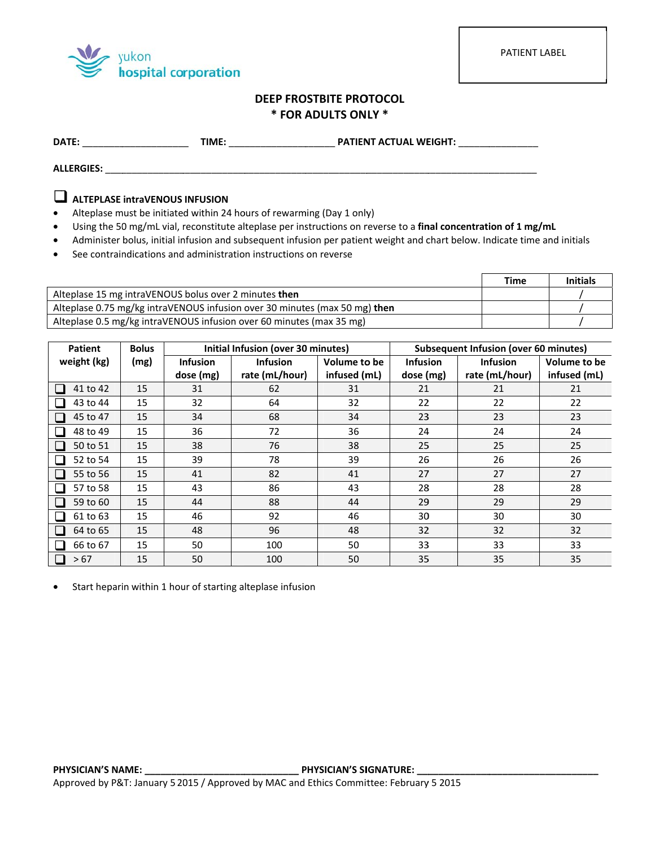

PATIENT LABEL

# DEEP FROSTBITE PROTOCOL \* FOR ADULTS ONLY \*

ALLERGIES: ALLERGIES:

# ALTEPLASE intraVENOUS INFUSION

- Alteplase must be initiated within 24 hours of rewarming (Day 1 only)  $\bullet$
- Using the 50 mg/mL vial, reconstitute alteplase per instructions on reverse to a final concentration of 1 mg/mL  $\bullet$
- Administer bolus, initial infusion and subsequent infusion per patient weight and chart below. Indicate time and initials
- See contraindications and administration instructions on reverse

|                                                                            | <b>Time</b> | <b>Initials</b> |
|----------------------------------------------------------------------------|-------------|-----------------|
| Alteplase 15 mg intraVENOUS bolus over 2 minutes then                      |             |                 |
| Alteplase 0.75 mg/kg intraVENOUS infusion over 30 minutes (max 50 mg) then |             |                 |
| Alteplase 0.5 mg/kg intraVENOUS infusion over 60 minutes (max 35 mg)       |             |                 |

| <b>Patient</b> | <b>Bolus</b> | Initial Infusion (over 30 minutes) |                 |              |                 | Subsequent Infusion (over 60 minutes) |              |
|----------------|--------------|------------------------------------|-----------------|--------------|-----------------|---------------------------------------|--------------|
| weight (kg)    | (mg)         | <b>Infusion</b>                    | <b>Infusion</b> | Volume to be | <b>Infusion</b> | <b>Infusion</b>                       | Volume to be |
|                |              | dose (mg)                          | rate (mL/hour)  | infused (mL) | dose (mg)       | rate (mL/hour)                        | infused (mL) |
| 41 to 42       | 15           | 31                                 | 62              | 31           | 21              | 21                                    | 21           |
| 43 to 44       | 15           | 32                                 | 64              | 32           | 22              | 22                                    | 22           |
| 45 to 47       | 15           | 34                                 | 68              | 34           | 23              | 23                                    | 23           |
| 48 to 49       | 15           | 36                                 | 72              | 36           | 24              | 24                                    | 24           |
| 50 to 51       | 15           | 38                                 | 76              | 38           | 25              | 25                                    | 25           |
| 52 to 54       | 15           | 39                                 | 78              | 39           | 26              | 26                                    | 26           |
| 55 to 56       | 15           | 41                                 | 82              | 41           | 27              | 27                                    | 27           |
| 57 to 58       | 15           | 43                                 | 86              | 43           | 28              | 28                                    | 28           |
| 59 to 60       | 15           | 44                                 | 88              | 44           | 29              | 29                                    | 29           |
| 61 to 63       | 15           | 46                                 | 92              | 46           | 30              | 30                                    | 30           |
| 64 to 65       | 15           | 48                                 | 96              | 48           | 32              | 32                                    | 32           |
| 66 to 67       | 15           | 50                                 | 100             | 50           | 33              | 33                                    | 33           |
| > 67           | 15           | 50                                 | 100             | 50           | 35              | 35                                    | 35           |

Start heparin within 1 hour of starting alteplase infusion  $\bullet$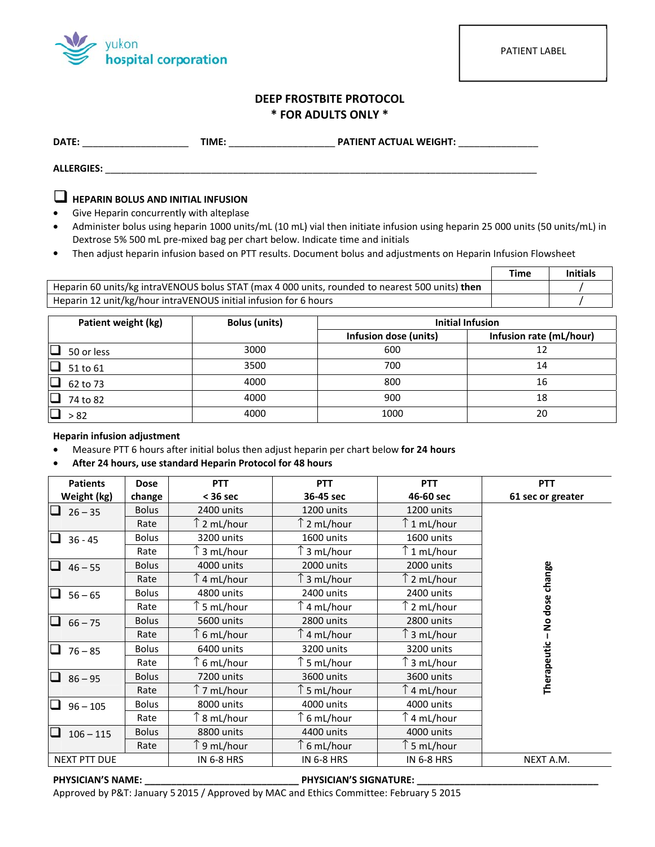

## **DEEP FROSTBITE PROTOCOL** \* FOR ADULTS ONLY \*

ALLERGIES: ALLERGIES: ALLERGIES: ALLERGIES: ALLERGIES: ALLERGIES: ALLERGIES: ALLERGIES: ALLERGIES: ALLERGIES: ALLERGIES: ALLERGIES: ALLERGIES: ALLERGIES: ALLERGIES: ALLERGIES: ALLERGIES: ALLERGIES: ALLERGIES: ALLERGIES: AL

# $\Box$  HEPARIN BOLUS AND INITIAL INFUSION

- Give Heparin concurrently with alteplase
- Administer bolus using heparin 1000 units/mL (10 mL) vial then initiate infusion using heparin 25 000 units (50 units/mL) in  $\bullet$ Dextrose 5% 500 mL pre-mixed bag per chart below. Indicate time and initials
- Then adjust heparin infusion based on PTT results. Document bolus and adjustments on Heparin Infusion Flowsheet

|                                                                                                 | Γime | Initials |  |
|-------------------------------------------------------------------------------------------------|------|----------|--|
| Heparin 60 units/kg intraVENOUS bolus STAT (max 4 000 units, rounded to nearest 500 units) then |      |          |  |
| Heparin 12 unit/kg/hour intraVENOUS initial infusion for 6 hours                                |      |          |  |

| Patient weight (kg)  | <b>Bolus (units)</b> | <b>Initial Infusion</b> |                         |
|----------------------|----------------------|-------------------------|-------------------------|
|                      |                      | Infusion dose (units)   | Infusion rate (mL/hour) |
| $\Box$<br>50 or less | 3000                 | 600                     | 12                      |
| $\Box$<br>51 to 61   | 3500                 | 700                     | 14                      |
| $\Box$<br>62 to 73   | 4000                 | 800                     | 16                      |
| O<br>74 to 82        | 4000                 | 900                     | 18                      |
| $\Box$<br>> 82       | 4000                 | 1000                    | 20                      |

## **Heparin infusion adjustment**

- Measure PTT 6 hours after initial bolus then adjust heparin per chart below for 24 hours  $\bullet$
- After 24 hours, use standard Heparin Protocol for 48 hours  $\bullet$

| <b>Patients</b>                       | <b>Dose</b>  | <b>PTT</b>           | <b>PTT</b>                            | <b>PTT</b>        | <b>PTT</b>        |
|---------------------------------------|--------------|----------------------|---------------------------------------|-------------------|-------------------|
| Weight (kg)                           | change       | $<$ 36 sec           | 36-45 sec                             | 46-60 sec         | 61 sec or greater |
| $26 - 35$                             | <b>Bolus</b> | 2400 units           | 1200 units                            | 1200 units        |                   |
|                                       | Rate         | $\uparrow$ 2 mL/hour | $\upharpoonright$ 2 mL/hour           | ↑1 mL/hour        |                   |
| $36 - 45$                             | <b>Bolus</b> | 3200 units           | 1600 units                            | 1600 units        |                   |
|                                       | Rate         | ົ 3 mL/hour          | 3 mL/hour                             | ↑1 mL/hour        |                   |
| $46 - 55$                             | <b>Bolus</b> | 4000 units           | 2000 units                            | 2000 units        |                   |
|                                       | Rate         | ↑4 mL/hour           | 3 mL/hour                             | ↑2 mL/hour        |                   |
| $56 - 65$                             | <b>Bolus</b> | 4800 units           | 2400 units                            | 2400 units        |                   |
|                                       | Rate         | ົ 5 mL/hour          | 4 mL/hour                             | 2 mL/hour         | No dose change    |
| $66 - 75$<br>$\overline{\phantom{a}}$ | <b>Bolus</b> | 5600 units           | 2800 units                            | 2800 units        |                   |
|                                       | Rate         | 6 mL/hour            | 4 mL/hour                             | 3 mL/hour         |                   |
| $76 - 85$                             | <b>Bolus</b> | 6400 units           | 3200 units                            | 3200 units        |                   |
|                                       | Rate         | ົ 6 mL/hour          | ົ 5 mL/hour                           | ົ 3 mL/hour       | Therapeutic-      |
| $86 - 95$<br>ப                        | <b>Bolus</b> | 7200 units           | 3600 units                            | 3600 units        |                   |
|                                       | Rate         | ↑7 mL/hour           | $\mathrel{\upharpoonright}$ 5 mL/hour | ↑4 mL/hour        |                   |
| $96 - 105$                            | <b>Bolus</b> | 8000 units           | 4000 units                            | 4000 units        |                   |
|                                       | Rate         | ົ 8 mL/hour          | $\uparrow$ 6 mL/hour                  | ↑4 mL/hour        |                   |
| $106 - 115$                           | <b>Bolus</b> | 8800 units           | 4400 units                            | 4000 units        |                   |
|                                       | Rate         | ↑9 mL/hour           | $\uparrow$ 6 mL/hour                  | ↑5 mL/hour        |                   |
| NEXT PTT DUE                          |              | <b>IN 6-8 HRS</b>    | <b>IN 6-8 HRS</b>                     | <b>IN 6-8 HRS</b> | NEXT A.M.         |

#### PHYSICIAN'S NAME: \_\_

\_\_\_\_ PHYSICIAN'S SIGNATURE: \_\_

Approved by P&T: January 5 2015 / Approved by MAC and Ethics Committee: February 5 2015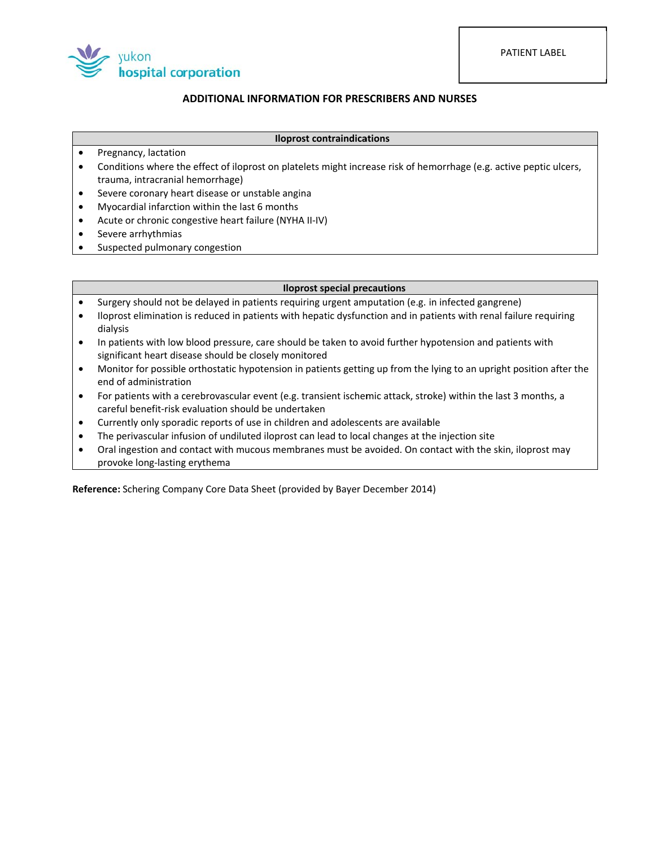PATIENT LABEL



## **ADDITIONAL INFORMATION FOR PRESCRIBERS AND NURSES**

#### **Iloprost contraindications**

- Pregnancy, lactation  $\bullet$
- Conditions where the effect of iloprost on platelets might increase risk of hemorrhage (e.g. active peptic ulcers, trauma, intracranial hemorrhage)
- Severe coronary heart disease or unstable angina  $\bullet$
- Myocardial infarction within the last 6 months  $\bullet$
- Acute or chronic congestive heart failure (NYHA II-IV)  $\bullet$
- $\bullet$ Severe arrhythmias
- $\bullet$ Suspected pulmonary congestion

### **Iloprost special precautions**

- Surgery should not be delayed in patients requiring urgent amputation (e.g. in infected gangrene)  $\bullet$
- $\bullet$ Iloprost elimination is reduced in patients with hepatic dysfunction and in patients with renal failure requiring dialysis
- In patients with low blood pressure, care should be taken to avoid further hypotension and patients with  $\bullet$ significant heart disease should be closely monitored
- Monitor for possible orthostatic hypotension in patients getting up from the lying to an upright position after the  $\bullet$ end of administration
- For patients with a cerebrovascular event (e.g. transient ischemic attack, stroke) within the last 3 months, a  $\bullet$ careful benefit-risk evaluation should be undertaken
- Currently only sporadic reports of use in children and adolescents are available  $\bullet$
- $\bullet$ The perivascular infusion of undiluted iloprost can lead to local changes at the injection site
- Oral ingestion and contact with mucous membranes must be avoided. On contact with the skin, iloprost may  $\bullet$ provoke long-lasting erythema

Reference: Schering Company Core Data Sheet (provided by Bayer December 2014)